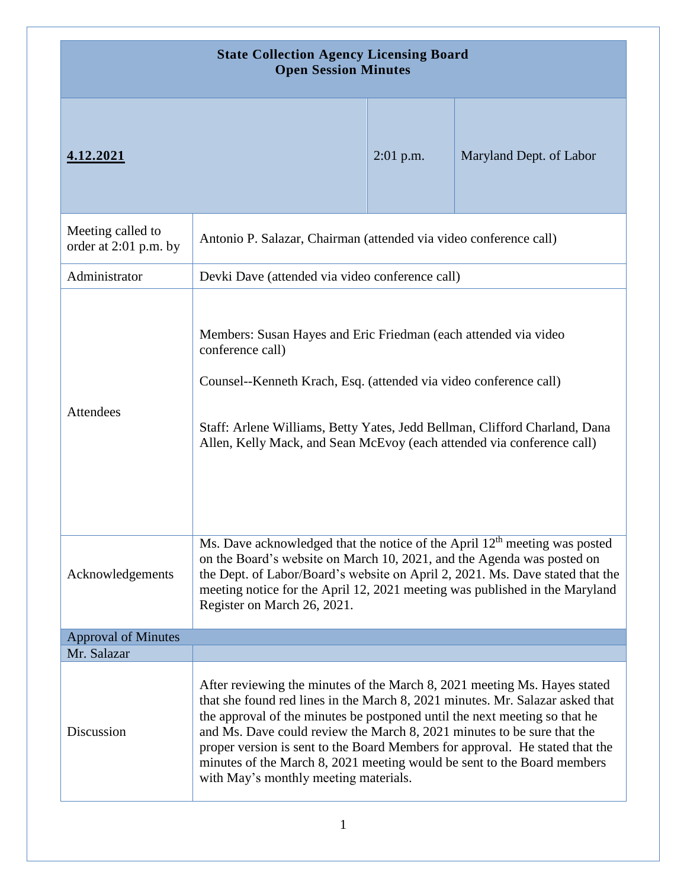| <b>State Collection Agency Licensing Board</b><br><b>Open Session Minutes</b> |                                                                                                                                                                                                                                                                                                                                                                                                                                                                                                                         |             |                         |
|-------------------------------------------------------------------------------|-------------------------------------------------------------------------------------------------------------------------------------------------------------------------------------------------------------------------------------------------------------------------------------------------------------------------------------------------------------------------------------------------------------------------------------------------------------------------------------------------------------------------|-------------|-------------------------|
| 4.12.2021                                                                     |                                                                                                                                                                                                                                                                                                                                                                                                                                                                                                                         | $2:01$ p.m. | Maryland Dept. of Labor |
| Meeting called to<br>order at 2:01 p.m. by                                    | Antonio P. Salazar, Chairman (attended via video conference call)                                                                                                                                                                                                                                                                                                                                                                                                                                                       |             |                         |
| Administrator                                                                 | Devki Dave (attended via video conference call)                                                                                                                                                                                                                                                                                                                                                                                                                                                                         |             |                         |
| Attendees                                                                     | Members: Susan Hayes and Eric Friedman (each attended via video<br>conference call)<br>Counsel--Kenneth Krach, Esq. (attended via video conference call)<br>Staff: Arlene Williams, Betty Yates, Jedd Bellman, Clifford Charland, Dana<br>Allen, Kelly Mack, and Sean McEvoy (each attended via conference call)                                                                                                                                                                                                        |             |                         |
| Acknowledgements                                                              | Ms. Dave acknowledged that the notice of the April 12 <sup>th</sup> meeting was posted<br>on the Board's website on March 10, 2021, and the Agenda was posted on<br>the Dept. of Labor/Board's website on April 2, 2021. Ms. Dave stated that the<br>meeting notice for the April 12, 2021 meeting was published in the Maryland<br>Register on March 26, 2021.                                                                                                                                                         |             |                         |
| <b>Approval of Minutes</b>                                                    |                                                                                                                                                                                                                                                                                                                                                                                                                                                                                                                         |             |                         |
| Mr. Salazar                                                                   |                                                                                                                                                                                                                                                                                                                                                                                                                                                                                                                         |             |                         |
| Discussion                                                                    | After reviewing the minutes of the March 8, 2021 meeting Ms. Hayes stated<br>that she found red lines in the March 8, 2021 minutes. Mr. Salazar asked that<br>the approval of the minutes be postponed until the next meeting so that he<br>and Ms. Dave could review the March 8, 2021 minutes to be sure that the<br>proper version is sent to the Board Members for approval. He stated that the<br>minutes of the March 8, 2021 meeting would be sent to the Board members<br>with May's monthly meeting materials. |             |                         |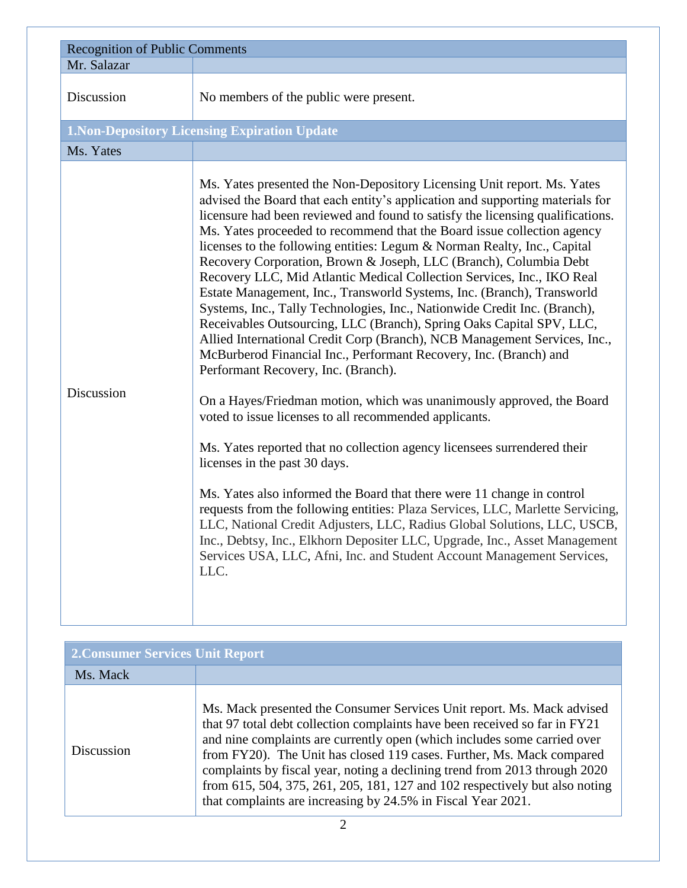| <b>Recognition of Public Comments</b> |                                                                                                                                                                                                                                                                                                                                                                                                                                                                                                                                                                                                                                                                                                                                                                                                                                                                                                                                                                                                                                                                                                                                                                                                                                                                                                                                                                                                                                                                                                                                                                                                                                  |  |
|---------------------------------------|----------------------------------------------------------------------------------------------------------------------------------------------------------------------------------------------------------------------------------------------------------------------------------------------------------------------------------------------------------------------------------------------------------------------------------------------------------------------------------------------------------------------------------------------------------------------------------------------------------------------------------------------------------------------------------------------------------------------------------------------------------------------------------------------------------------------------------------------------------------------------------------------------------------------------------------------------------------------------------------------------------------------------------------------------------------------------------------------------------------------------------------------------------------------------------------------------------------------------------------------------------------------------------------------------------------------------------------------------------------------------------------------------------------------------------------------------------------------------------------------------------------------------------------------------------------------------------------------------------------------------------|--|
| Mr. Salazar                           |                                                                                                                                                                                                                                                                                                                                                                                                                                                                                                                                                                                                                                                                                                                                                                                                                                                                                                                                                                                                                                                                                                                                                                                                                                                                                                                                                                                                                                                                                                                                                                                                                                  |  |
| Discussion                            | No members of the public were present.                                                                                                                                                                                                                                                                                                                                                                                                                                                                                                                                                                                                                                                                                                                                                                                                                                                                                                                                                                                                                                                                                                                                                                                                                                                                                                                                                                                                                                                                                                                                                                                           |  |
|                                       | <b>1. Non-Depository Licensing Expiration Update</b>                                                                                                                                                                                                                                                                                                                                                                                                                                                                                                                                                                                                                                                                                                                                                                                                                                                                                                                                                                                                                                                                                                                                                                                                                                                                                                                                                                                                                                                                                                                                                                             |  |
| Ms. Yates                             |                                                                                                                                                                                                                                                                                                                                                                                                                                                                                                                                                                                                                                                                                                                                                                                                                                                                                                                                                                                                                                                                                                                                                                                                                                                                                                                                                                                                                                                                                                                                                                                                                                  |  |
| Discussion                            | Ms. Yates presented the Non-Depository Licensing Unit report. Ms. Yates<br>advised the Board that each entity's application and supporting materials for<br>licensure had been reviewed and found to satisfy the licensing qualifications.<br>Ms. Yates proceeded to recommend that the Board issue collection agency<br>licenses to the following entities: Legum & Norman Realty, Inc., Capital<br>Recovery Corporation, Brown & Joseph, LLC (Branch), Columbia Debt<br>Recovery LLC, Mid Atlantic Medical Collection Services, Inc., IKO Real<br>Estate Management, Inc., Transworld Systems, Inc. (Branch), Transworld<br>Systems, Inc., Tally Technologies, Inc., Nationwide Credit Inc. (Branch),<br>Receivables Outsourcing, LLC (Branch), Spring Oaks Capital SPV, LLC,<br>Allied International Credit Corp (Branch), NCB Management Services, Inc.,<br>McBurberod Financial Inc., Performant Recovery, Inc. (Branch) and<br>Performant Recovery, Inc. (Branch).<br>On a Hayes/Friedman motion, which was unanimously approved, the Board<br>voted to issue licenses to all recommended applicants.<br>Ms. Yates reported that no collection agency licensees surrendered their<br>licenses in the past 30 days.<br>Ms. Yates also informed the Board that there were 11 change in control<br>requests from the following entities: Plaza Services, LLC, Marlette Servicing,<br>LLC, National Credit Adjusters, LLC, Radius Global Solutions, LLC, USCB,<br>Inc., Debtsy, Inc., Elkhorn Depositer LLC, Upgrade, Inc., Asset Management<br>Services USA, LLC, Afni, Inc. and Student Account Management Services,<br>LLC. |  |

| <b>2. Consumer Services Unit Report</b> |                                                                                                                                                                                                                                                                                                                                                                                                                                                                                                                                        |  |
|-----------------------------------------|----------------------------------------------------------------------------------------------------------------------------------------------------------------------------------------------------------------------------------------------------------------------------------------------------------------------------------------------------------------------------------------------------------------------------------------------------------------------------------------------------------------------------------------|--|
| Ms. Mack                                |                                                                                                                                                                                                                                                                                                                                                                                                                                                                                                                                        |  |
| <b>Discussion</b>                       | Ms. Mack presented the Consumer Services Unit report. Ms. Mack advised<br>that 97 total debt collection complaints have been received so far in FY21<br>and nine complaints are currently open (which includes some carried over<br>from FY20). The Unit has closed 119 cases. Further, Ms. Mack compared<br>complaints by fiscal year, noting a declining trend from 2013 through 2020<br>from 615, 504, 375, 261, 205, 181, 127 and 102 respectively but also noting<br>that complaints are increasing by 24.5% in Fiscal Year 2021. |  |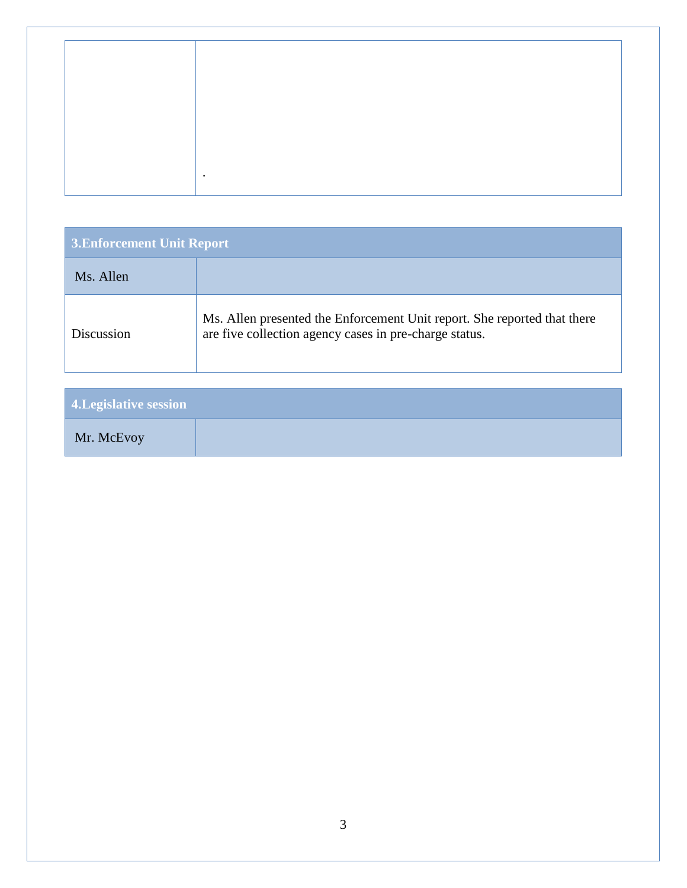|  | $\bullet$ |  |
|--|-----------|--|
|  |           |  |
|  |           |  |

| <b>3. Enforcement Unit Report</b> |                                                                                                                                    |  |
|-----------------------------------|------------------------------------------------------------------------------------------------------------------------------------|--|
| Ms. Allen                         |                                                                                                                                    |  |
| Discussion                        | Ms. Allen presented the Enforcement Unit report. She reported that there<br>are five collection agency cases in pre-charge status. |  |

| <b>4. Legislative session</b> |  |
|-------------------------------|--|
| Mr. McEvoy                    |  |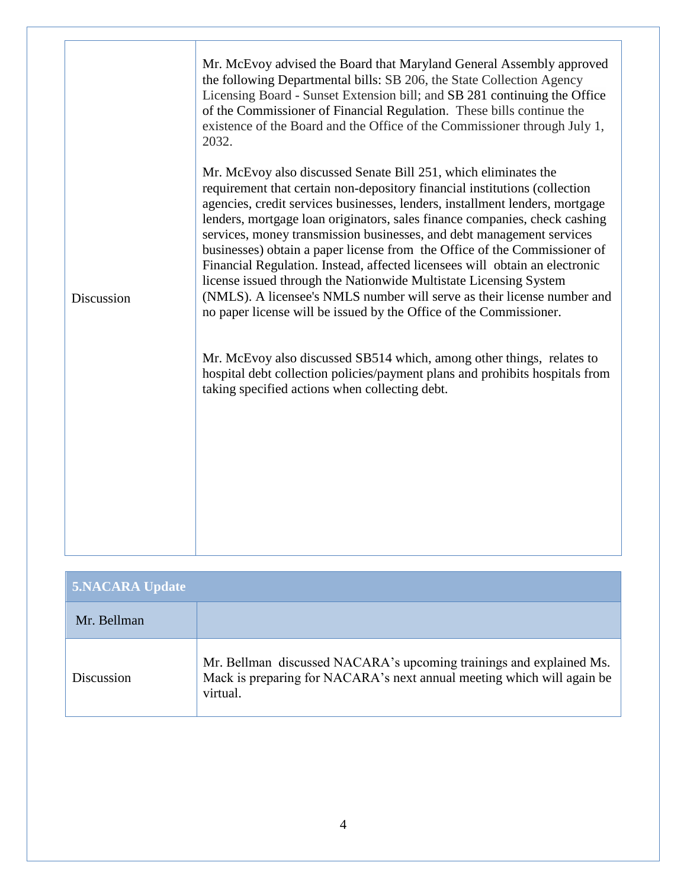| Discussion | Mr. McEvoy advised the Board that Maryland General Assembly approved<br>the following Departmental bills: SB 206, the State Collection Agency<br>Licensing Board - Sunset Extension bill; and SB 281 continuing the Office<br>of the Commissioner of Financial Regulation. These bills continue the<br>existence of the Board and the Office of the Commissioner through July 1,<br>2032.<br>Mr. McEvoy also discussed Senate Bill 251, which eliminates the<br>requirement that certain non-depository financial institutions (collection<br>agencies, credit services businesses, lenders, installment lenders, mortgage<br>lenders, mortgage loan originators, sales finance companies, check cashing<br>services, money transmission businesses, and debt management services<br>businesses) obtain a paper license from the Office of the Commissioner of<br>Financial Regulation. Instead, affected licensees will obtain an electronic<br>license issued through the Nationwide Multistate Licensing System<br>(NMLS). A licensee's NMLS number will serve as their license number and<br>no paper license will be issued by the Office of the Commissioner.<br>Mr. McEvoy also discussed SB514 which, among other things, relates to<br>hospital debt collection policies/payment plans and prohibits hospitals from<br>taking specified actions when collecting debt. |
|------------|--------------------------------------------------------------------------------------------------------------------------------------------------------------------------------------------------------------------------------------------------------------------------------------------------------------------------------------------------------------------------------------------------------------------------------------------------------------------------------------------------------------------------------------------------------------------------------------------------------------------------------------------------------------------------------------------------------------------------------------------------------------------------------------------------------------------------------------------------------------------------------------------------------------------------------------------------------------------------------------------------------------------------------------------------------------------------------------------------------------------------------------------------------------------------------------------------------------------------------------------------------------------------------------------------------------------------------------------------------------------------------|
|            |                                                                                                                                                                                                                                                                                                                                                                                                                                                                                                                                                                                                                                                                                                                                                                                                                                                                                                                                                                                                                                                                                                                                                                                                                                                                                                                                                                                |

| <b>5.NACARA Update</b> |                                                                                                                                                           |
|------------------------|-----------------------------------------------------------------------------------------------------------------------------------------------------------|
| Mr. Bellman            |                                                                                                                                                           |
| Discussion             | Mr. Bellman discussed NACARA's upcoming trainings and explained Ms.<br>Mack is preparing for NACARA's next annual meeting which will again be<br>virtual. |